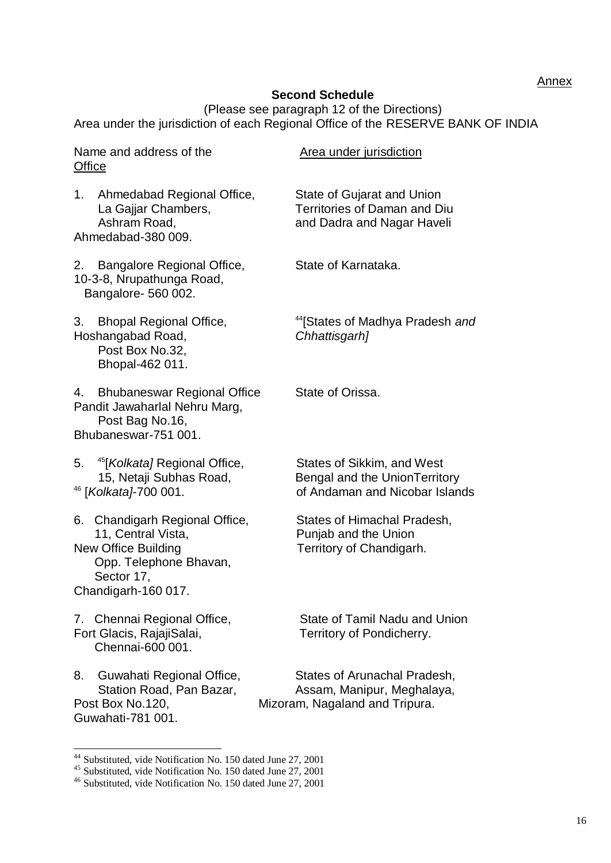**Annex** 

## **Second Schedule**

(Please see paragraph 12 of the Directions) Area under the jurisdiction of each Regional Office of the RESERVE BANK OF INDIA

| <b>Office</b> | Name and address of the                                                                                                                           | Area under jurisdiction                                                                         |
|---------------|---------------------------------------------------------------------------------------------------------------------------------------------------|-------------------------------------------------------------------------------------------------|
| 1.            | Ahmedabad Regional Office,<br>La Gajjar Chambers,<br>Ashram Road,<br>Ahmedabad-380 009.                                                           | State of Gujarat and Union<br><b>Territories of Daman and Diu</b><br>and Dadra and Nagar Haveli |
| 2.            | Bangalore Regional Office,<br>10-3-8, Nrupathunga Road,<br>Bangalore- 560 002.                                                                    | State of Karnataka.                                                                             |
| 3.            | <b>Bhopal Regional Office,</b><br>Hoshangabad Road,<br>Post Box No.32,<br>Bhopal-462 011.                                                         | <sup>44</sup> [States of Madhya Pradesh and<br>Chhattisgarh]                                    |
| 4.            | <b>Bhubaneswar Regional Office</b><br>Pandit Jawaharlal Nehru Marg,<br>Post Bag No.16,<br>Bhubaneswar-751 001.                                    | State of Orissa.                                                                                |
| 5.            | <sup>45</sup> [ <i>Kolkata]</i> Regional Office,<br>15, Netaji Subhas Road,<br><sup>46</sup> [ <i>Kolkata]</i> -700 001.                          | States of Sikkim, and West<br>Bengal and the UnionTerritory<br>of Andaman and Nicobar Islands   |
|               | 6. Chandigarh Regional Office,<br>11, Central Vista,<br><b>New Office Building</b><br>Opp. Telephone Bhavan,<br>Sector 17,<br>Chandigarh-160 017. | States of Himachal Pradesh,<br>Punjab and the Union<br>Territory of Chandigarh.                 |
|               | 7. Chennai Regional Office,<br>Fort Glacis, RajajiSalai,<br>Chennai-600 001.                                                                      | State of Tamil Nadu and Union<br>Territory of Pondicherry.                                      |
| 8.            | Guwahati Regional Office,<br>Station Road, Pan Bazar,<br>Post Box No.120,<br>Guwahati-781 001.                                                    | States of Arunachal Pradesh,<br>Assam, Manipur, Meghalaya,<br>Mizoram, Nagaland and Tripura.    |

<sup>&</sup>lt;sup>44</sup> Substituted, vide Notification No. 150 dated June 27, 2001

-

<sup>&</sup>lt;sup>45</sup> Substituted, vide Notification No. 150 dated June 27, 2001

<sup>&</sup>lt;sup>46</sup> Substituted, vide Notification No. 150 dated June 27, 2001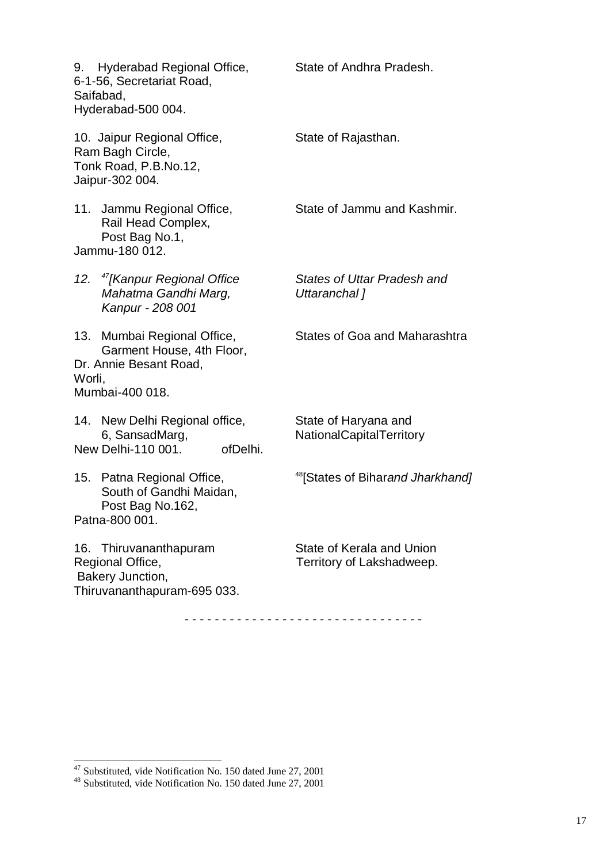|        | 9. Hyderabad Regional Office,<br>6-1-56, Secretariat Road,<br>Saifabad,<br>Hyderabad-500 004.         | State of Andhra Pradesh.                               |
|--------|-------------------------------------------------------------------------------------------------------|--------------------------------------------------------|
|        | 10. Jaipur Regional Office,<br>Ram Bagh Circle,<br>Tonk Road, P.B.No.12,<br>Jaipur-302 004.           | State of Rajasthan.                                    |
|        | 11. Jammu Regional Office,<br>Rail Head Complex,<br>Post Bag No.1,<br>Jammu-180 012.                  | State of Jammu and Kashmir.                            |
|        | 12. <sup>47</sup> [Kanpur Regional Office<br>Mahatma Gandhi Marg,<br>Kanpur - 208 001                 | States of Uttar Pradesh and<br>Uttaranchal]            |
| Worli, | 13. Mumbai Regional Office,<br>Garment House, 4th Floor,<br>Dr. Annie Besant Road,<br>Mumbai-400 018. | States of Goa and Maharashtra                          |
|        | 14. New Delhi Regional office,<br>6, SansadMarg,<br>New Delhi-110 001.<br>ofDelhi.                    | State of Haryana and<br>NationalCapitalTerritory       |
|        | 15. Patna Regional Office,<br>South of Gandhi Maidan,<br>Post Bag No.162,<br>Patna-800 001.           | <sup>48</sup> [States of Biharand Jharkhand]           |
|        | 16. Thiruvananthapuram<br>Regional Office,<br>Bakery Junction,<br>Thiruvananthapuram-695 033.         | State of Kerala and Union<br>Territory of Lakshadweep. |

- - - - - - - - - - - - - - - - - - - - - - - - - - - - - - - -

-

 $47$  Substituted, vide Notification No. 150 dated June 27, 2001

<sup>&</sup>lt;sup>48</sup> Substituted, vide Notification No. 150 dated June 27, 2001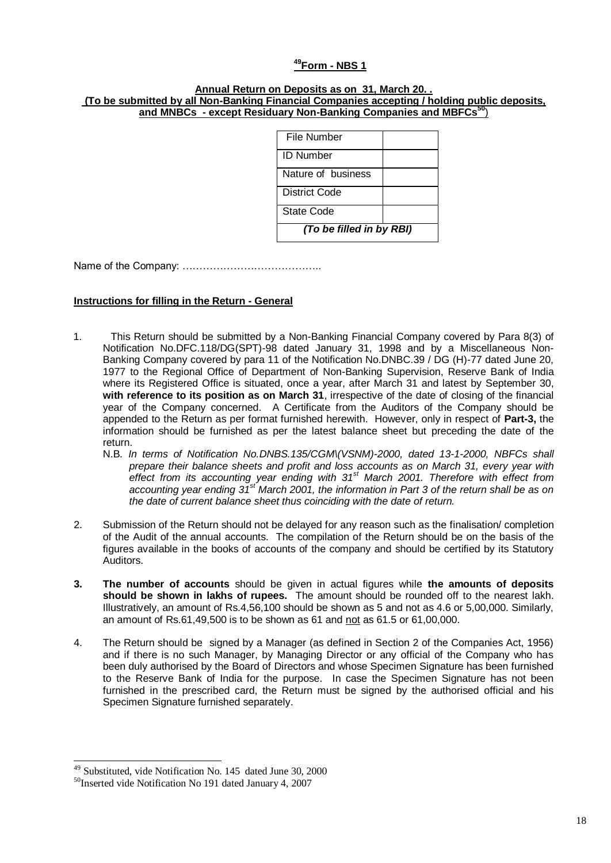#### **<sup>49</sup>Form - NBS 1**

#### **Annual Return on Deposits as on 31, March 20. . (To be submitted by all Non-Banking Financial Companies accepting / holding public deposits, and MNBCs - except Residuary Non-Banking Companies and MBFCs<sup>50</sup>**)

| File Number              |  |  |
|--------------------------|--|--|
| <b>ID Number</b>         |  |  |
| Nature of business       |  |  |
| District Code            |  |  |
| State Code               |  |  |
| (To be filled in by RBI) |  |  |

Name of the Company: …………………………………..

#### **Instructions for filling in the Return - General**

- 1. This Return should be submitted by a Non-Banking Financial Company covered by Para 8(3) of Notification No.DFC.118/DG(SPT)-98 dated January 31, 1998 and by a Miscellaneous Non-Banking Company covered by para 11 of the Notification No.DNBC.39 / DG (H)-77 dated June 20, 1977 to the Regional Office of Department of Non-Banking Supervision, Reserve Bank of India where its Registered Office is situated, once a year, after March 31 and latest by September 30, **with reference to its position as on March 31**, irrespective of the date of closing of the financial year of the Company concerned. A Certificate from the Auditors of the Company should be appended to the Return as per format furnished herewith. However, only in respect of **Part-3,** the information should be furnished as per the latest balance sheet but preceding the date of the return.
	- N.B*. In terms of Notification No.DNBS.135/CGM\(VSNM)-2000, dated 13-1-2000, NBFCs shall prepare their balance sheets and profit and loss accounts as on March 31, every year with effect from its accounting year ending with 31st March 2001. Therefore with effect from accounting year ending 31st March 2001, the information in Part 3 of the return shall be as on the date of current balance sheet thus coinciding with the date of return.*
- 2. Submission of the Return should not be delayed for any reason such as the finalisation/ completion of the Audit of the annual accounts. The compilation of the Return should be on the basis of the figures available in the books of accounts of the company and should be certified by its Statutory Auditors.
- **3. The number of accounts** should be given in actual figures while **the amounts of deposits should be shown in lakhs of rupees.** The amount should be rounded off to the nearest lakh. Illustratively, an amount of Rs.4,56,100 should be shown as 5 and not as 4.6 or 5,00,000. Similarly, an amount of Rs.61,49,500 is to be shown as 61 and not as 61.5 or 61,00,000.
- 4. The Return should be signed by a Manager (as defined in Section 2 of the Companies Act, 1956) and if there is no such Manager, by Managing Director or any official of the Company who has been duly authorised by the Board of Directors and whose Specimen Signature has been furnished to the Reserve Bank of India for the purpose. In case the Specimen Signature has not been furnished in the prescribed card, the Return must be signed by the authorised official and his Specimen Signature furnished separately.

-

<sup>&</sup>lt;sup>49</sup> Substituted, vide Notification No. 145 dated June 30, 2000

<sup>&</sup>lt;sup>50</sup>Inserted vide Notification No 191 dated January 4, 2007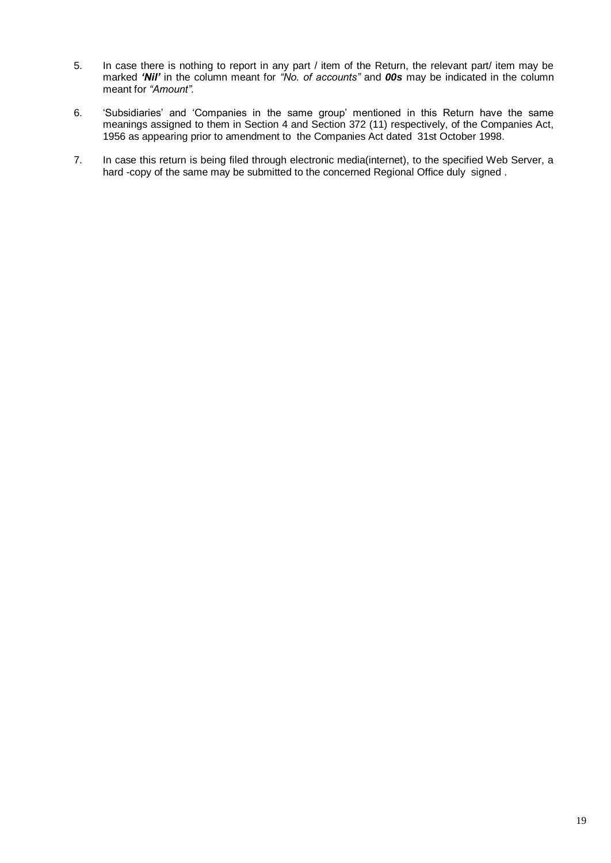- 5. In case there is nothing to report in any part / item of the Return, the relevant part/ item may be marked *'Nil'* in the column meant for *"No. of accounts"* and *00s* may be indicated in the column meant for *"Amount".*
- 6. 'Subsidiaries' and 'Companies in the same group' mentioned in this Return have the same meanings assigned to them in Section 4 and Section 372 (11) respectively, of the Companies Act, 1956 as appearing prior to amendment to the Companies Act dated 31st October 1998.
- 7. In case this return is being filed through electronic media(internet), to the specified Web Server, a hard -copy of the same may be submitted to the concerned Regional Office duly signed.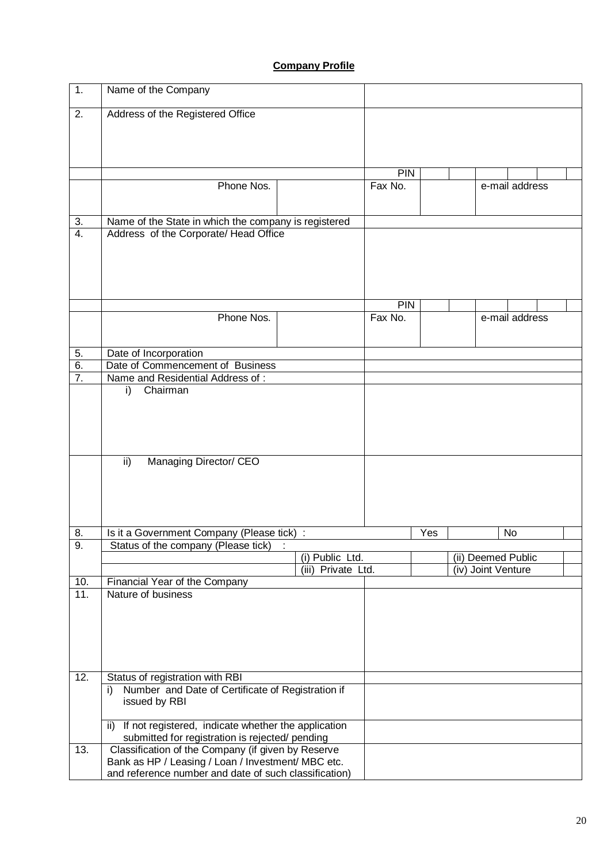# **Company Profile**

| 1.               | Name of the Company                                                                                         |                    |            |     |                    |                |  |
|------------------|-------------------------------------------------------------------------------------------------------------|--------------------|------------|-----|--------------------|----------------|--|
| 2.               | Address of the Registered Office                                                                            |                    |            |     |                    |                |  |
|                  |                                                                                                             |                    |            |     |                    |                |  |
|                  |                                                                                                             |                    |            |     |                    |                |  |
|                  |                                                                                                             |                    |            |     |                    |                |  |
|                  |                                                                                                             |                    | <b>PIN</b> |     |                    |                |  |
|                  | Phone Nos.                                                                                                  |                    | Fax No.    |     |                    | e-mail address |  |
|                  |                                                                                                             |                    |            |     |                    |                |  |
| 3.               | Name of the State in which the company is registered                                                        |                    |            |     |                    |                |  |
| $\overline{4}$ . | Address of the Corporate/ Head Office                                                                       |                    |            |     |                    |                |  |
|                  |                                                                                                             |                    |            |     |                    |                |  |
|                  |                                                                                                             |                    |            |     |                    |                |  |
|                  |                                                                                                             |                    |            |     |                    |                |  |
|                  |                                                                                                             |                    | <b>PIN</b> |     |                    |                |  |
|                  | Phone Nos.                                                                                                  |                    | Fax No.    |     |                    | e-mail address |  |
|                  |                                                                                                             |                    |            |     |                    |                |  |
| 5.               | Date of Incorporation                                                                                       |                    |            |     |                    |                |  |
| 6.               | Date of Commencement of Business                                                                            |                    |            |     |                    |                |  |
| $\overline{7}$ . | Name and Residential Address of:                                                                            |                    |            |     |                    |                |  |
|                  | Chairman<br>i)                                                                                              |                    |            |     |                    |                |  |
|                  |                                                                                                             |                    |            |     |                    |                |  |
|                  |                                                                                                             |                    |            |     |                    |                |  |
|                  |                                                                                                             |                    |            |     |                    |                |  |
|                  | Managing Director/ CEO<br>ii)                                                                               |                    |            |     |                    |                |  |
|                  |                                                                                                             |                    |            |     |                    |                |  |
|                  |                                                                                                             |                    |            |     |                    |                |  |
|                  |                                                                                                             |                    |            |     |                    |                |  |
|                  |                                                                                                             |                    |            |     |                    |                |  |
| 8.               | Is it a Government Company (Please tick) :                                                                  |                    |            | Yes |                    | No             |  |
| 9.               | Status of the company (Please tick)                                                                         | (i) Public Ltd.    |            |     | (ii) Deemed Public |                |  |
|                  |                                                                                                             | (iii) Private Ltd. |            |     | (iv) Joint Venture |                |  |
| 10.              | Financial Year of the Company                                                                               |                    |            |     |                    |                |  |
| 11.              | Nature of business                                                                                          |                    |            |     |                    |                |  |
|                  |                                                                                                             |                    |            |     |                    |                |  |
|                  |                                                                                                             |                    |            |     |                    |                |  |
|                  |                                                                                                             |                    |            |     |                    |                |  |
|                  |                                                                                                             |                    |            |     |                    |                |  |
| 12.              | Status of registration with RBI                                                                             |                    |            |     |                    |                |  |
|                  | Number and Date of Certificate of Registration if<br>i)                                                     |                    |            |     |                    |                |  |
|                  | issued by RBI                                                                                               |                    |            |     |                    |                |  |
|                  | If not registered, indicate whether the application<br>ii)                                                  |                    |            |     |                    |                |  |
|                  | submitted for registration is rejected/ pending                                                             |                    |            |     |                    |                |  |
| 13.              | Classification of the Company (if given by Reserve                                                          |                    |            |     |                    |                |  |
|                  | Bank as HP / Leasing / Loan / Investment/ MBC etc.<br>and reference number and date of such classification) |                    |            |     |                    |                |  |
|                  |                                                                                                             |                    |            |     |                    |                |  |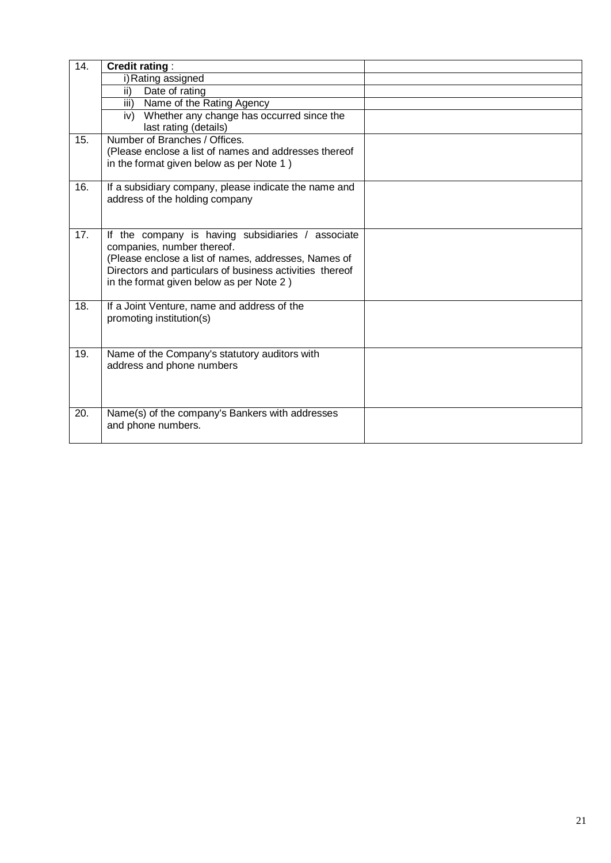| 14.               | <b>Credit rating:</b>                                                                   |  |
|-------------------|-----------------------------------------------------------------------------------------|--|
|                   | i) Rating assigned                                                                      |  |
|                   | Date of rating<br>ii)                                                                   |  |
|                   | iii) Name of the Rating Agency                                                          |  |
|                   | Whether any change has occurred since the<br>iv)<br>last rating (details)               |  |
| 15.               | Number of Branches / Offices.                                                           |  |
|                   | (Please enclose a list of names and addresses thereof                                   |  |
|                   | in the format given below as per Note 1)                                                |  |
| 16.               | If a subsidiary company, please indicate the name and<br>address of the holding company |  |
|                   |                                                                                         |  |
|                   |                                                                                         |  |
| $\overline{17}$ . | If the company is having subsidiaries / associate                                       |  |
|                   | companies, number thereof.<br>(Please enclose a list of names, addresses, Names of      |  |
|                   | Directors and particulars of business activities thereof                                |  |
|                   | in the format given below as per Note 2)                                                |  |
|                   |                                                                                         |  |
| 18.               | If a Joint Venture, name and address of the                                             |  |
|                   | promoting institution(s)                                                                |  |
|                   |                                                                                         |  |
| 19.               | Name of the Company's statutory auditors with                                           |  |
|                   | address and phone numbers                                                               |  |
|                   |                                                                                         |  |
|                   |                                                                                         |  |
| 20.               | Name(s) of the company's Bankers with addresses                                         |  |
|                   | and phone numbers.                                                                      |  |
|                   |                                                                                         |  |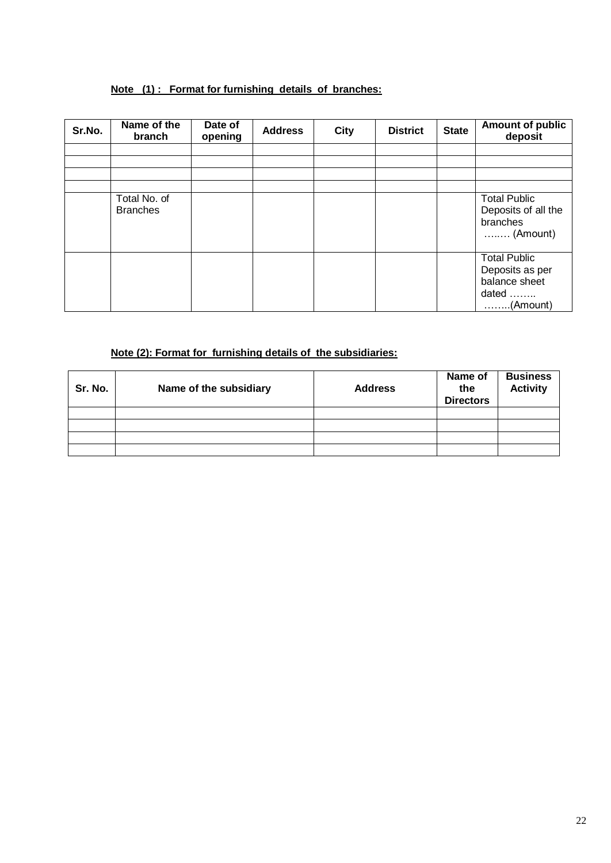# **Note (1) : Format for furnishing details of branches:**

| Sr.No. | Name of the<br>branch           | Date of<br>opening | <b>Address</b> | <b>City</b> | <b>District</b> | <b>State</b> | <b>Amount of public</b><br>deposit                                                    |
|--------|---------------------------------|--------------------|----------------|-------------|-----------------|--------------|---------------------------------------------------------------------------------------|
|        |                                 |                    |                |             |                 |              |                                                                                       |
|        |                                 |                    |                |             |                 |              |                                                                                       |
|        |                                 |                    |                |             |                 |              |                                                                                       |
|        | Total No. of<br><b>Branches</b> |                    |                |             |                 |              | <b>Total Public</b><br>Deposits of all the<br>branches<br>$\ldots$ (Amount)           |
|        |                                 |                    |                |             |                 |              | <b>Total Public</b><br>Deposits as per<br>balance sheet<br>dated<br>$\ldots$ (Amount) |

## **Note (2): Format for furnishing details of the subsidiaries:**

| Sr. No. | Name of the subsidiary | <b>Address</b> | Name of<br>the<br><b>Directors</b> | <b>Business</b><br><b>Activity</b> |
|---------|------------------------|----------------|------------------------------------|------------------------------------|
|         |                        |                |                                    |                                    |
|         |                        |                |                                    |                                    |
|         |                        |                |                                    |                                    |
|         |                        |                |                                    |                                    |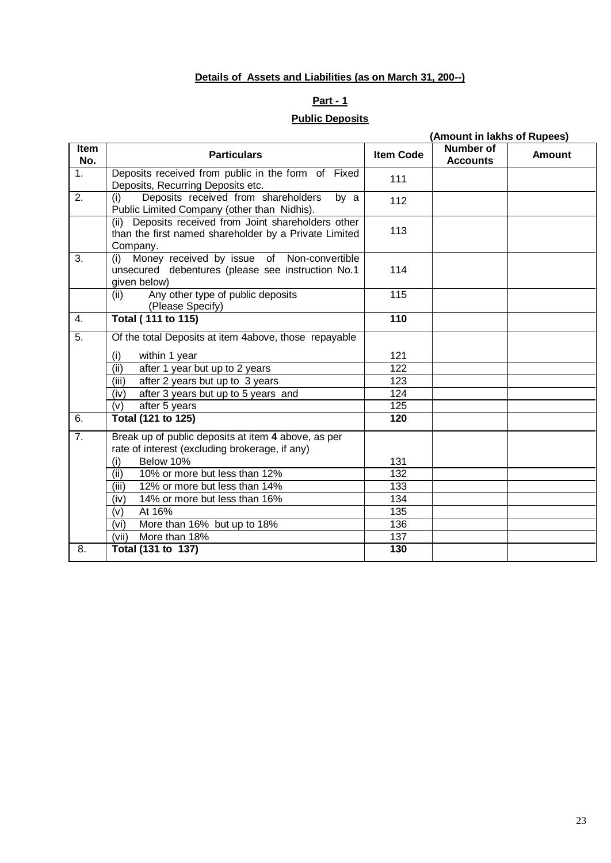# **Details of Assets and Liabilities (as on March 31, 200--)**

## **Part - 1**

### **Public Deposits**

|                    |                                                                                                                           |                  | (Amount in lakhs of Rupees)  |               |  |  |
|--------------------|---------------------------------------------------------------------------------------------------------------------------|------------------|------------------------------|---------------|--|--|
| <b>Item</b><br>No. | <b>Particulars</b>                                                                                                        | <b>Item Code</b> | Number of<br><b>Accounts</b> | <b>Amount</b> |  |  |
| 1.                 | Deposits received from public in the form of Fixed<br>Deposits, Recurring Deposits etc.                                   | 111              |                              |               |  |  |
| 2.                 | Deposits received from shareholders<br>(i)<br>by a<br>Public Limited Company (other than Nidhis).                         | 112              |                              |               |  |  |
|                    | (ii) Deposits received from Joint shareholders other<br>than the first named shareholder by a Private Limited<br>Company. | 113              |                              |               |  |  |
| 3.                 | Money received by issue of Non-convertible<br>(i)<br>unsecured debentures (please see instruction No.1<br>given below)    | 114              |                              |               |  |  |
|                    | Any other type of public deposits<br>(ii)<br>(Please Specify)                                                             | 115              |                              |               |  |  |
| 4.                 | <b>Total (111 to 115)</b>                                                                                                 | 110              |                              |               |  |  |
| $\overline{5}$ .   | Of the total Deposits at item 4above, those repayable                                                                     |                  |                              |               |  |  |
|                    | (i)<br>within 1 year                                                                                                      | 121              |                              |               |  |  |
|                    | (ii)<br>after 1 year but up to 2 years                                                                                    | 122              |                              |               |  |  |
|                    | (iii)<br>after 2 years but up to 3 years                                                                                  | $\overline{123}$ |                              |               |  |  |
|                    | after 3 years but up to 5 years and<br>(iv)                                                                               | 124              |                              |               |  |  |
|                    | (v)<br>after 5 years                                                                                                      | 125              |                              |               |  |  |
| 6.                 | Total (121 to 125)                                                                                                        | 120              |                              |               |  |  |
| $\overline{7}$ .   | Break up of public deposits at item 4 above, as per<br>rate of interest (excluding brokerage, if any)                     |                  |                              |               |  |  |
|                    | Below 10%<br>(i)                                                                                                          | 131              |                              |               |  |  |
|                    | (iii)<br>10% or more but less than 12%                                                                                    | 132              |                              |               |  |  |
|                    | (iii)<br>12% or more but less than 14%                                                                                    | 133              |                              |               |  |  |
|                    | 14% or more but less than 16%<br>(iv)                                                                                     | 134              |                              |               |  |  |
|                    | At 16%<br>(v)                                                                                                             | 135              |                              |               |  |  |
|                    | More than 16% but up to 18%<br>(vi)                                                                                       | 136              |                              |               |  |  |
|                    | (vii)<br>More than 18%                                                                                                    | 137              |                              |               |  |  |
| 8.                 | Total (131 to 137)                                                                                                        | 130              |                              |               |  |  |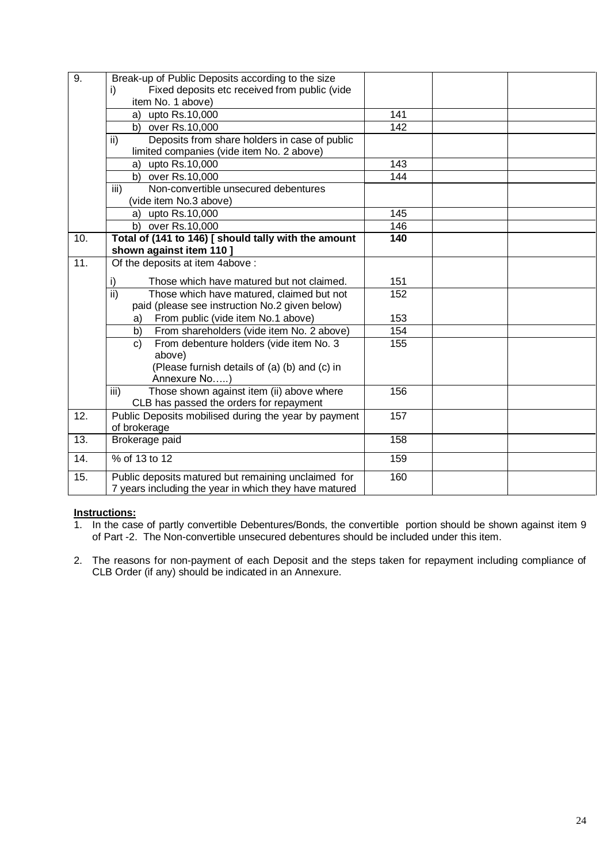| $\overline{9}$ .  | Break-up of Public Deposits according to the size            |                  |  |
|-------------------|--------------------------------------------------------------|------------------|--|
|                   | Fixed deposits etc received from public (vide<br>i)          |                  |  |
|                   | item No. 1 above)                                            |                  |  |
|                   | a) upto Rs.10,000                                            | 141              |  |
|                   | b) over Rs.10,000                                            | 142              |  |
|                   | Deposits from share holders in case of public<br>ii)         |                  |  |
|                   | limited companies (vide item No. 2 above)                    |                  |  |
|                   | upto Rs.10,000<br>a)                                         | 143              |  |
|                   | b) over Rs.10,000                                            | 144              |  |
|                   | Non-convertible unsecured debentures<br>$\overline{iii}$     |                  |  |
|                   | (vide item No.3 above)                                       |                  |  |
|                   | a) upto Rs.10,000                                            | 145              |  |
|                   | b) over Rs.10,000                                            | 146              |  |
| 10.               | Total of (141 to 146) [ should tally with the amount         | $\overline{140}$ |  |
|                   | shown against item 110 ]                                     |                  |  |
| $\overline{11}$ . | Of the deposits at item 4above:                              |                  |  |
|                   | i)<br>Those which have matured but not claimed.              | 151              |  |
|                   | $\overline{ii}$<br>Those which have matured, claimed but not | 152              |  |
|                   | paid (please see instruction No.2 given below)               |                  |  |
|                   | From public (vide item No.1 above)<br>a)                     | 153              |  |
|                   | From shareholders (vide item No. 2 above)<br>b)              | 154              |  |
|                   | From debenture holders (vide item No. 3<br>c)                | 155              |  |
|                   | above)                                                       |                  |  |
|                   | (Please furnish details of (a) (b) and (c) in                |                  |  |
|                   | Annexure No)                                                 |                  |  |
|                   | Those shown against item (ii) above where<br>iii)            | 156              |  |
|                   | CLB has passed the orders for repayment                      |                  |  |
| 12.               | Public Deposits mobilised during the year by payment         | 157              |  |
|                   | of brokerage                                                 |                  |  |
| 13.               | Brokerage paid                                               | 158              |  |
| $\overline{14}$ . | % of 13 to 12                                                | 159              |  |
| 15.               | Public deposits matured but remaining unclaimed for          | 160              |  |
|                   | 7 years including the year in which they have matured        |                  |  |

### **Instructions:**

- 1. In the case of partly convertible Debentures/Bonds, the convertible portion should be shown against item 9 of Part -2. The Non-convertible unsecured debentures should be included under this item.
- 2. The reasons for non-payment of each Deposit and the steps taken for repayment including compliance of CLB Order (if any) should be indicated in an Annexure.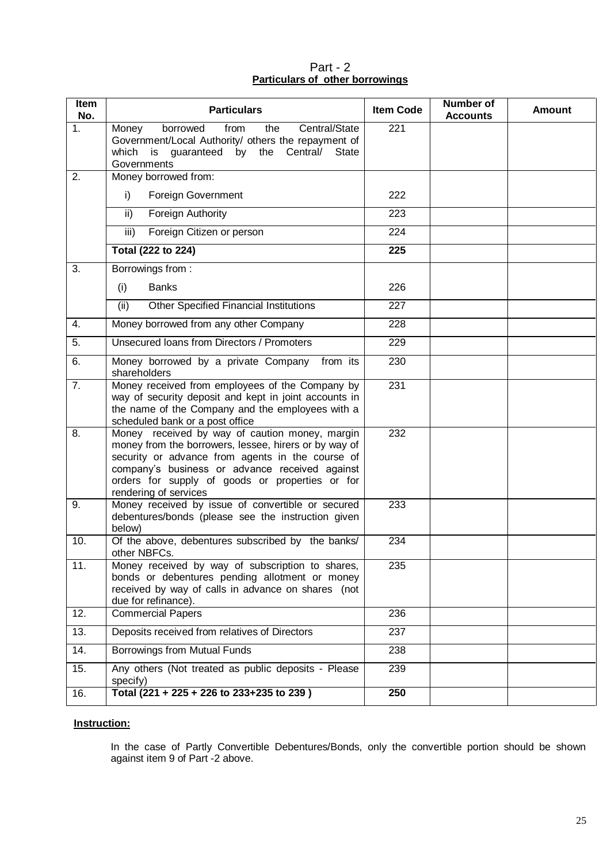Part - 2 **Particulars of other borrowings**

| Item<br>No. | <b>Particulars</b>                                                                                                                                                                                                                                                                        | <b>Item Code</b> | Number of<br><b>Accounts</b> | <b>Amount</b> |
|-------------|-------------------------------------------------------------------------------------------------------------------------------------------------------------------------------------------------------------------------------------------------------------------------------------------|------------------|------------------------------|---------------|
| 1.          | Central/State<br>borrowed<br>the<br>Money<br>from<br>Government/Local Authority/ others the repayment of<br>guaranteed<br>by<br>Central/<br>which<br>the<br>is i<br>State<br>Governments                                                                                                  | 221              |                              |               |
| 2.          | Money borrowed from:                                                                                                                                                                                                                                                                      |                  |                              |               |
|             | i)<br><b>Foreign Government</b>                                                                                                                                                                                                                                                           | 222              |                              |               |
|             | ii)<br>Foreign Authority                                                                                                                                                                                                                                                                  | 223              |                              |               |
|             | iii)<br>Foreign Citizen or person                                                                                                                                                                                                                                                         | 224              |                              |               |
|             | <b>Total (222 to 224)</b>                                                                                                                                                                                                                                                                 | $\overline{225}$ |                              |               |
| 3.          | Borrowings from:                                                                                                                                                                                                                                                                          |                  |                              |               |
|             | <b>Banks</b><br>(i)                                                                                                                                                                                                                                                                       | 226              |                              |               |
|             | <b>Other Specified Financial Institutions</b><br>(ii)                                                                                                                                                                                                                                     | 227              |                              |               |
| 4.          | Money borrowed from any other Company                                                                                                                                                                                                                                                     | 228              |                              |               |
| 5.          | Unsecured Ioans from Directors / Promoters                                                                                                                                                                                                                                                | 229              |                              |               |
| 6.          | from its<br>Money borrowed by a private Company<br>shareholders                                                                                                                                                                                                                           | 230              |                              |               |
| 7.          | Money received from employees of the Company by<br>way of security deposit and kept in joint accounts in<br>the name of the Company and the employees with a<br>scheduled bank or a post office                                                                                           | 231              |                              |               |
| 8.          | Money received by way of caution money, margin<br>money from the borrowers, lessee, hirers or by way of<br>security or advance from agents in the course of<br>company's business or advance received against<br>orders for supply of goods or properties or for<br>rendering of services | 232              |                              |               |
| 9.          | Money received by issue of convertible or secured<br>debentures/bonds (please see the instruction given<br>below)                                                                                                                                                                         | 233              |                              |               |
| 10.         | Of the above, debentures subscribed by the banks/<br>other NBFCs.                                                                                                                                                                                                                         | 234              |                              |               |
| 11.         | Money received by way of subscription to shares,<br>bonds or debentures pending allotment or money<br>received by way of calls in advance on shares (not<br>due for refinance).                                                                                                           | 235              |                              |               |
| 12.         | Commercial Papers                                                                                                                                                                                                                                                                         | 236              |                              |               |
| 13.         | Deposits received from relatives of Directors                                                                                                                                                                                                                                             | 237              |                              |               |
| 14.         | Borrowings from Mutual Funds                                                                                                                                                                                                                                                              | 238              |                              |               |
| 15.         | Any others (Not treated as public deposits - Please<br>specify)                                                                                                                                                                                                                           | 239              |                              |               |
| 16.         | Total (221 + 225 + 226 to 233+235 to 239)                                                                                                                                                                                                                                                 | 250              |                              |               |

### **Instruction:**

In the case of Partly Convertible Debentures/Bonds, only the convertible portion should be shown against item 9 of Part -2 above.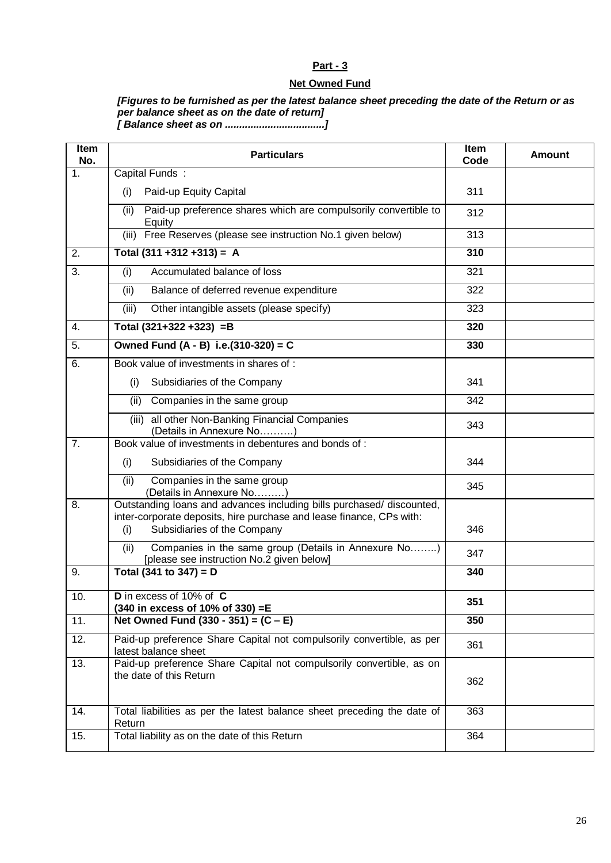### **Net Owned Fund**

# *[Figures to be furnished as per the latest balance sheet preceding the date of the Return or as per balance sheet as on the date of return]*

*[ Balance sheet as on ...................................]*

| Item<br>No.      | <b>Particulars</b>                                                                                                                                                                  | Item<br>Code | <b>Amount</b> |
|------------------|-------------------------------------------------------------------------------------------------------------------------------------------------------------------------------------|--------------|---------------|
| 1.               | Capital Funds:                                                                                                                                                                      |              |               |
|                  | Paid-up Equity Capital<br>(i)                                                                                                                                                       | 311          |               |
|                  | Paid-up preference shares which are compulsorily convertible to<br>(ii)<br>Equity                                                                                                   | 312          |               |
|                  | (iii) Free Reserves (please see instruction No.1 given below)                                                                                                                       | 313          |               |
| 2.               | Total $(311 + 312 + 313) = A$                                                                                                                                                       | 310          |               |
| 3.               | Accumulated balance of loss<br>(i)                                                                                                                                                  | 321          |               |
|                  | Balance of deferred revenue expenditure<br>(ii)                                                                                                                                     | 322          |               |
|                  | Other intangible assets (please specify)<br>(iii)                                                                                                                                   | 323          |               |
| 4.               | Total $(321+322+323) = B$                                                                                                                                                           | 320          |               |
| 5.               | Owned Fund $(A - B)$ i.e. $(310-320) = C$                                                                                                                                           | 330          |               |
| 6.               | Book value of investments in shares of:                                                                                                                                             |              |               |
|                  | Subsidiaries of the Company<br>(i)                                                                                                                                                  | 341          |               |
|                  | Companies in the same group<br>(ii)                                                                                                                                                 | 342          |               |
|                  | all other Non-Banking Financial Companies<br>(iii)<br>(Details in Annexure No)                                                                                                      | 343          |               |
| $\overline{7}$ . | Book value of investments in debentures and bonds of :                                                                                                                              |              |               |
|                  | (i)<br>Subsidiaries of the Company                                                                                                                                                  | 344          |               |
|                  | (ii)<br>Companies in the same group<br>(Details in Annexure No)                                                                                                                     | 345          |               |
| 8.               | Outstanding loans and advances including bills purchased/ discounted,<br>inter-corporate deposits, hire purchase and lease finance, CPs with:<br>Subsidiaries of the Company<br>(i) | 346          |               |
|                  | Companies in the same group (Details in Annexure No)<br>(ii)<br>[please see instruction No.2 given below]                                                                           | 347          |               |
| 9.               | Total (341 to 347) = $D$                                                                                                                                                            | 340          |               |
| 10.              | D in excess of 10% of C<br>(340 in excess of 10% of 330) = E                                                                                                                        | 351          |               |
| 11.              | Net Owned Fund $(330 - 351) = (C - E)$                                                                                                                                              | 350          |               |
| 12.              | Paid-up preference Share Capital not compulsorily convertible, as per<br>latest balance sheet                                                                                       | 361          |               |
| 13.              | Paid-up preference Share Capital not compulsorily convertible, as on<br>the date of this Return                                                                                     | 362          |               |
| 14.              | Total liabilities as per the latest balance sheet preceding the date of<br>Return                                                                                                   | 363          |               |
| 15.              | Total liability as on the date of this Return                                                                                                                                       | 364          |               |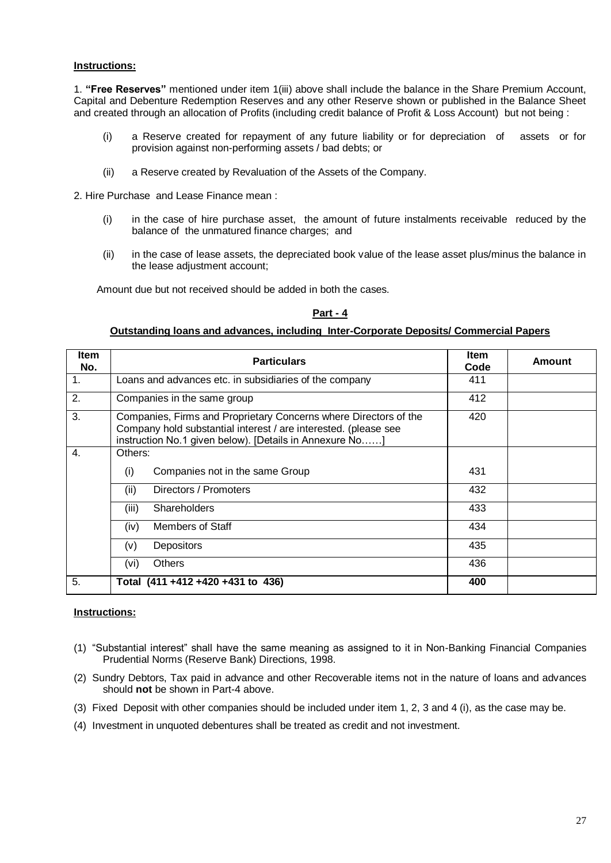#### **Instructions:**

1. **"Free Reserves"** mentioned under item 1(iii) above shall include the balance in the Share Premium Account, Capital and Debenture Redemption Reserves and any other Reserve shown or published in the Balance Sheet and created through an allocation of Profits (including credit balance of Profit & Loss Account) but not being :

- (i) a Reserve created for repayment of any future liability or for depreciation of assets or for provision against non-performing assets / bad debts; or
- (ii) a Reserve created by Revaluation of the Assets of the Company.

2. Hire Purchase and Lease Finance mean :

- (i) in the case of hire purchase asset, the amount of future instalments receivable reduced by the balance of the unmatured finance charges; and
- (ii) in the case of lease assets, the depreciated book value of the lease asset plus/minus the balance in the lease adjustment account;

Amount due but not received should be added in both the cases.

#### **Part - 4**

#### **Outstanding loans and advances, including Inter-Corporate Deposits/ Commercial Papers**

| <b>Item</b><br>No. | <b>Particulars</b>                                                                                                                                                                             | <b>Item</b><br>Code | Amount |
|--------------------|------------------------------------------------------------------------------------------------------------------------------------------------------------------------------------------------|---------------------|--------|
| $\mathbf{1}$ .     | Loans and advances etc. in subsidiaries of the company                                                                                                                                         | 411                 |        |
| 2.                 | Companies in the same group                                                                                                                                                                    | 412                 |        |
| 3.                 | Companies, Firms and Proprietary Concerns where Directors of the<br>Company hold substantial interest / are interested. (please see<br>instruction No.1 given below). [Details in Annexure No] | 420                 |        |
| $\mathbf{4}$ .     | Others:                                                                                                                                                                                        |                     |        |
|                    | Companies not in the same Group<br>(i)                                                                                                                                                         | 431                 |        |
|                    | Directors / Promoters<br>(ii)                                                                                                                                                                  | 432                 |        |
|                    | Shareholders<br>(iii)                                                                                                                                                                          | 433                 |        |
|                    | Members of Staff<br>(iv)                                                                                                                                                                       | 434                 |        |
|                    | <b>Depositors</b><br>(v)                                                                                                                                                                       | 435                 |        |
|                    | <b>Others</b><br>(vi)                                                                                                                                                                          | 436                 |        |
| 5.                 | Total (411+412+420+431 to 436)                                                                                                                                                                 | 400                 |        |

#### **Instructions:**

- (1) "Substantial interest" shall have the same meaning as assigned to it in Non-Banking Financial Companies Prudential Norms (Reserve Bank) Directions, 1998.
- (2) Sundry Debtors, Tax paid in advance and other Recoverable items not in the nature of loans and advances should **not** be shown in Part-4 above.
- (3) Fixed Deposit with other companies should be included under item 1, 2, 3 and 4 (i), as the case may be.
- (4) Investment in unquoted debentures shall be treated as credit and not investment.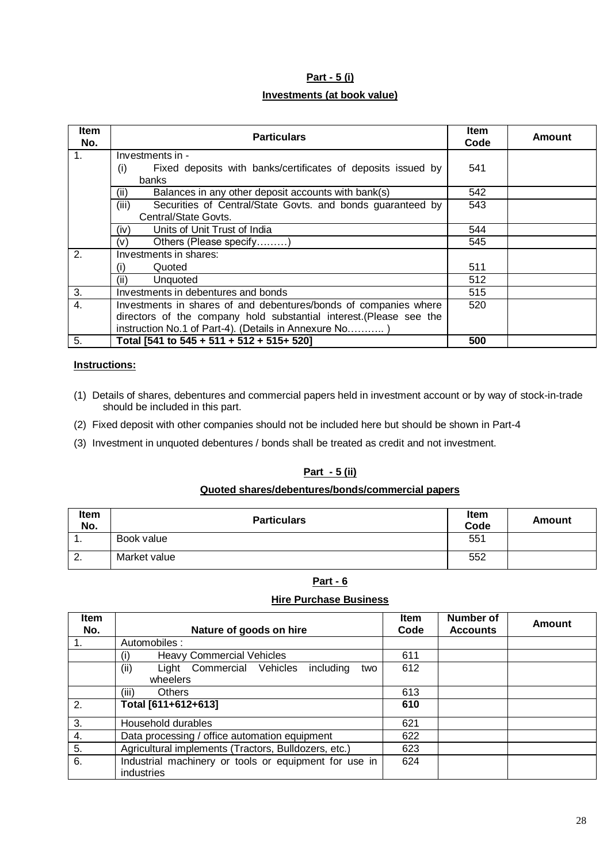# **Part - 5 (i) Investments (at book value)**

| <b>Item</b><br>No. | <b>Particulars</b>                                                  | <b>Item</b><br>Code | Amount |
|--------------------|---------------------------------------------------------------------|---------------------|--------|
| 1 <sub>1</sub>     | Investments in -                                                    |                     |        |
|                    | Fixed deposits with banks/certificates of deposits issued by<br>(i) | 541                 |        |
|                    | banks                                                               |                     |        |
|                    | Balances in any other deposit accounts with bank(s)<br>(ii)         | 542                 |        |
|                    | Securities of Central/State Govts. and bonds guaranteed by<br>(iii) | 543                 |        |
|                    | Central/State Govts.                                                |                     |        |
|                    | Units of Unit Trust of India<br>(iv)                                | 544                 |        |
|                    | Others (Please specify)<br>(v)                                      | 545                 |        |
| 2.                 | Investments in shares:                                              |                     |        |
|                    | Quoted<br>(i)                                                       | 511                 |        |
|                    | (ii)<br>Unquoted                                                    | 512                 |        |
| 3.                 | Investments in debentures and bonds                                 | 515                 |        |
| $\overline{4}$ .   | Investments in shares of and debentures/bonds of companies where    | 520                 |        |
|                    | directors of the company hold substantial interest. (Please see the |                     |        |
|                    | instruction No.1 of Part-4). (Details in Annexure No)               |                     |        |
| 5.                 | Total [541 to 545 + 511 + 512 + 515+ 520]                           | 500                 |        |

#### **Instructions:**

- (1) Details of shares, debentures and commercial papers held in investment account or by way of stock-in-trade should be included in this part.
- (2) Fixed deposit with other companies should not be included here but should be shown in Part-4
- (3) Investment in unquoted debentures / bonds shall be treated as credit and not investment.

### **Part - 5 (ii)**

### **Quoted shares/debentures/bonds/commercial papers**

| Item<br>No.   | <b>Particulars</b> | <b>Item</b><br>Code | Amount |
|---------------|--------------------|---------------------|--------|
| . .           | Book value         | 551                 |        |
| റ<br><u>.</u> | Market value       | 552                 |        |

### **Part - 6**

### **Hire Purchase Business**

| <b>Item</b><br>No. | Nature of goods on hire                                             | <b>Item</b><br>Code | Number of<br><b>Accounts</b> | Amount |
|--------------------|---------------------------------------------------------------------|---------------------|------------------------------|--------|
| 1.                 | Automobiles:                                                        |                     |                              |        |
|                    | <b>Heavy Commercial Vehicles</b><br>$\mathbf{I}$                    | 611                 |                              |        |
|                    | (ii)<br>Light Commercial Vehicles<br>including<br>two               | 612                 |                              |        |
|                    | wheelers                                                            |                     |                              |        |
|                    | <b>Others</b><br>(iii)                                              | 613                 |                              |        |
| 2.                 | Total [611+612+613]                                                 | 610                 |                              |        |
| 3.                 | Household durables                                                  | 621                 |                              |        |
| 4.                 | Data processing / office automation equipment                       | 622                 |                              |        |
| 5.                 | Agricultural implements (Tractors, Bulldozers, etc.)                | 623                 |                              |        |
| 6.                 | Industrial machinery or tools or equipment for use in<br>industries | 624                 |                              |        |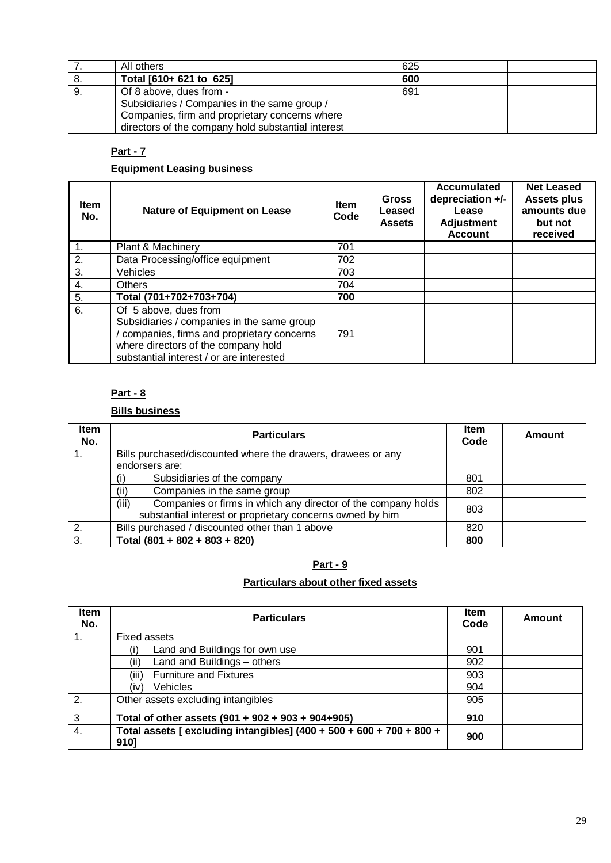|    | All others                                                                                                                                                                      | 625 |  |
|----|---------------------------------------------------------------------------------------------------------------------------------------------------------------------------------|-----|--|
| 8. | Total [610+ 621 to 625]                                                                                                                                                         | 600 |  |
| 9. | Of 8 above, dues from -<br>Subsidiaries / Companies in the same group /<br>Companies, firm and proprietary concerns where<br>directors of the company hold substantial interest | 691 |  |

## **Equipment Leasing business**

| <b>Item</b><br>No. | <b>Nature of Equipment on Lease</b>                                                                                                                                                                 | <b>Item</b><br>Code | <b>Gross</b><br>Leased<br><b>Assets</b> | Accumulated<br>depreciation +/-<br>Lease<br><b>Adjustment</b><br><b>Account</b> | <b>Net Leased</b><br><b>Assets plus</b><br>amounts due<br>but not<br>received |
|--------------------|-----------------------------------------------------------------------------------------------------------------------------------------------------------------------------------------------------|---------------------|-----------------------------------------|---------------------------------------------------------------------------------|-------------------------------------------------------------------------------|
| 1.                 | Plant & Machinery                                                                                                                                                                                   | 701                 |                                         |                                                                                 |                                                                               |
| 2.                 | Data Processing/office equipment                                                                                                                                                                    | 702                 |                                         |                                                                                 |                                                                               |
| 3.                 | Vehicles                                                                                                                                                                                            | 703                 |                                         |                                                                                 |                                                                               |
| 4.                 | <b>Others</b>                                                                                                                                                                                       | 704                 |                                         |                                                                                 |                                                                               |
| 5.                 | Total (701+702+703+704)                                                                                                                                                                             | 700                 |                                         |                                                                                 |                                                                               |
| 6.                 | Of 5 above, dues from<br>Subsidiaries / companies in the same group<br>companies, firms and proprietary concerns<br>where directors of the company hold<br>substantial interest / or are interested | 791                 |                                         |                                                                                 |                                                                               |

### **Part - 8**

# **Bills business**

| <b>Item</b><br>No. | <b>Particulars</b>                                                                                                                  | <b>Item</b><br>Code | Amount |
|--------------------|-------------------------------------------------------------------------------------------------------------------------------------|---------------------|--------|
|                    | Bills purchased/discounted where the drawers, drawees or any                                                                        |                     |        |
|                    | endorsers are:                                                                                                                      |                     |        |
|                    | Subsidiaries of the company                                                                                                         | 801                 |        |
|                    | Companies in the same group<br>(ii)                                                                                                 | 802                 |        |
|                    | Companies or firms in which any director of the company holds<br>(iii)<br>substantial interest or proprietary concerns owned by him | 803                 |        |
| 2.                 | Bills purchased / discounted other than 1 above                                                                                     | 820                 |        |
| 3.                 | Total $(801 + 802 + 803 + 820)$                                                                                                     | 800                 |        |

# **Part - 9**

# **Particulars about other fixed assets**

| Item<br>No. | <b>Particulars</b>                                                           | <b>Item</b><br>Code | Amount |
|-------------|------------------------------------------------------------------------------|---------------------|--------|
|             | Fixed assets                                                                 |                     |        |
|             | Land and Buildings for own use                                               | 901                 |        |
|             | Land and Buildings - others<br>(ii)                                          | 902                 |        |
|             | <b>Furniture and Fixtures</b><br>(iii)                                       | 903                 |        |
|             | <b>Vehicles</b><br>(iv)                                                      | 904                 |        |
| 2.          | Other assets excluding intangibles                                           | 905                 |        |
| 3           | Total of other assets (901 + 902 + 903 + 904+905)                            | 910                 |        |
| 4.          | Total assets [ excluding intangibles] (400 + 500 + 600 + 700 + 800 +<br>9101 | 900                 |        |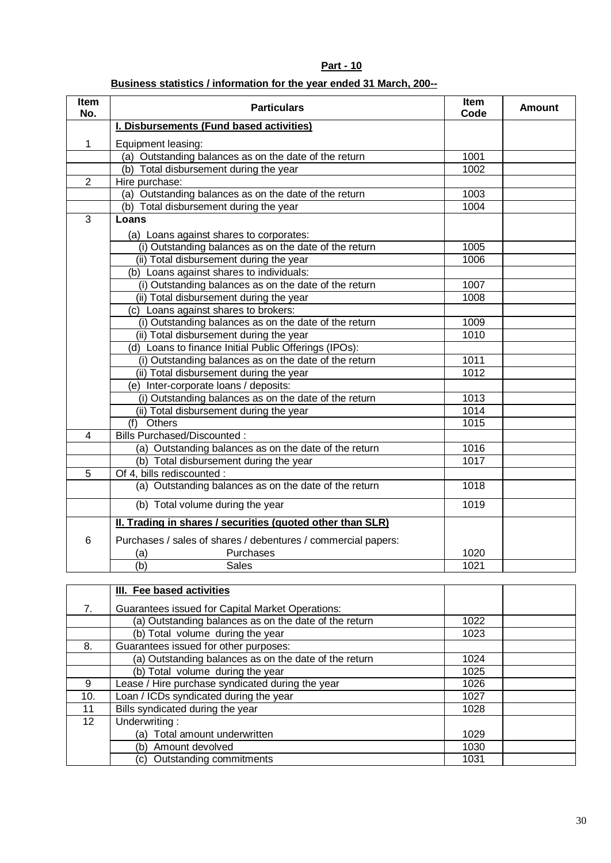## **Business statistics / information for the year ended 31 March, 200--**

| Item<br>No.              | <b>Particulars</b>                                            | Item<br>Code | <b>Amount</b> |
|--------------------------|---------------------------------------------------------------|--------------|---------------|
|                          | I. Disbursements (Fund based activities)                      |              |               |
| $\mathbf{1}$             | Equipment leasing:                                            |              |               |
|                          | (a) Outstanding balances as on the date of the return         | 1001         |               |
|                          | (b) Total disbursement during the year                        | 1002         |               |
| $\overline{2}$           | Hire purchase:                                                |              |               |
|                          | (a) Outstanding balances as on the date of the return         | 1003         |               |
|                          | (b) Total disbursement during the year                        | 1004         |               |
| $\overline{3}$           | Loans                                                         |              |               |
|                          | (a) Loans against shares to corporates:                       |              |               |
|                          | (i) Outstanding balances as on the date of the return         | 1005         |               |
|                          | (ii) Total disbursement during the year                       | 1006         |               |
|                          | (b) Loans against shares to individuals:                      |              |               |
|                          | (i) Outstanding balances as on the date of the return         | 1007         |               |
|                          | (ii) Total disbursement during the year                       | 1008         |               |
|                          | (c) Loans against shares to brokers:                          |              |               |
|                          | (i) Outstanding balances as on the date of the return         | 1009         |               |
|                          | (ii) Total disbursement during the year                       | 1010         |               |
|                          | (d) Loans to finance Initial Public Offerings (IPOs):         |              |               |
|                          | (i) Outstanding balances as on the date of the return         | 1011         |               |
|                          | (ii) Total disbursement during the year                       | 1012         |               |
|                          | (e) Inter-corporate loans / deposits:                         |              |               |
|                          | (i) Outstanding balances as on the date of the return         | 1013         |               |
|                          | (ii) Total disbursement during the year                       | 1014         |               |
|                          | (f) Others                                                    | 1015         |               |
| $\overline{\mathcal{A}}$ | <b>Bills Purchased/Discounted:</b>                            |              |               |
|                          | (a) Outstanding balances as on the date of the return         | 1016         |               |
|                          | (b) Total disbursement during the year                        | 1017         |               |
| $\overline{5}$           | Of 4, bills rediscounted :                                    |              |               |
|                          | (a) Outstanding balances as on the date of the return         | 1018         |               |
|                          | (b) Total volume during the year                              | 1019         |               |
|                          | II. Trading in shares / securities (quoted other than SLR)    |              |               |
| 6                        | Purchases / sales of shares / debentures / commercial papers: |              |               |
|                          | Purchases<br>(a)                                              | 1020         |               |
|                          | $\overline{(\mathsf{b})}$<br><b>Sales</b>                     | 1021         |               |

|                 | <b>III.</b> Fee based activities                      |      |  |
|-----------------|-------------------------------------------------------|------|--|
| 7.              | Guarantees issued for Capital Market Operations:      |      |  |
|                 | (a) Outstanding balances as on the date of the return | 1022 |  |
|                 | (b) Total volume during the year                      | 1023 |  |
| 8.              | Guarantees issued for other purposes:                 |      |  |
|                 | (a) Outstanding balances as on the date of the return | 1024 |  |
|                 | (b) Total volume during the year                      | 1025 |  |
| 9               | Lease / Hire purchase syndicated during the year      | 1026 |  |
| 10.             | Loan / ICDs syndicated during the year                | 1027 |  |
| 11              | Bills syndicated during the year                      | 1028 |  |
| 12 <sup>2</sup> | Underwriting:                                         |      |  |
|                 | Total amount underwritten<br>(a)                      | 1029 |  |
|                 | Amount devolved<br>(b)                                | 1030 |  |
|                 | Outstanding commitments<br>(C).                       | 1031 |  |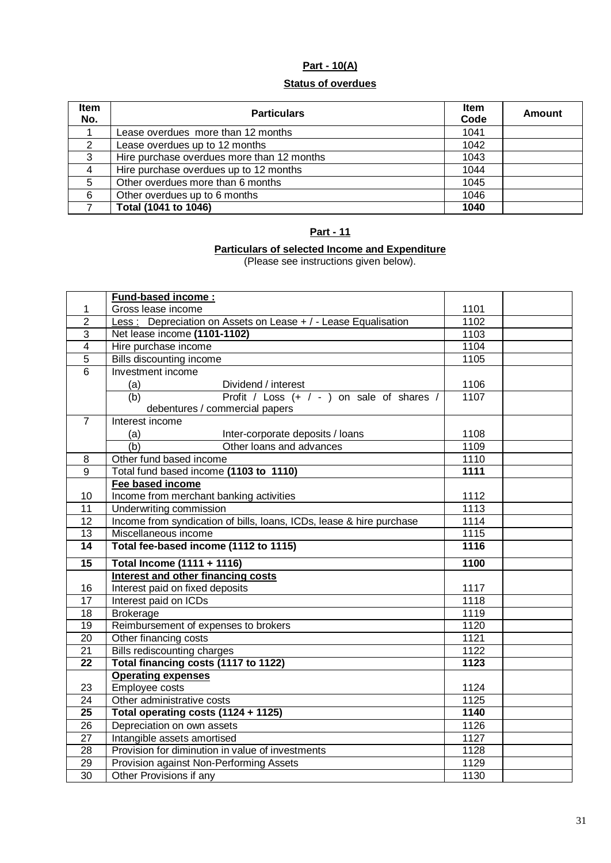# **Part - 10(A)**

#### **Status of overdues**

| Item<br>No.    | <b>Particulars</b>                         | <b>Item</b><br>Code | Amount |
|----------------|--------------------------------------------|---------------------|--------|
|                | Lease overdues more than 12 months         | 1041                |        |
| 2              | Lease overdues up to 12 months             | 1042                |        |
| 3              | Hire purchase overdues more than 12 months | 1043                |        |
| $\overline{4}$ | Hire purchase overdues up to 12 months     | 1044                |        |
| 5              | Other overdues more than 6 months          | 1045                |        |
| 6              | Other overdues up to 6 months              | 1046                |        |
|                | Total (1041 to 1046)                       | 1040                |        |

### **Part - 11**

#### **Particulars of selected Income and Expenditure**

(Please see instructions given below).

|                       | <b>Fund-based income:</b>                                            |                   |  |
|-----------------------|----------------------------------------------------------------------|-------------------|--|
| 1                     | Gross lease income                                                   | 1101              |  |
| $\overline{2}$        | Less: Depreciation on Assets on Lease + / - Lease Equalisation       | 1102              |  |
| 3                     | Net lease income (1101-1102)                                         | 1103              |  |
| $\overline{4}$        | Hire purchase income                                                 | 1104              |  |
| $\overline{5}$        | Bills discounting income                                             | 1105              |  |
| $\overline{6}$        | Investment income                                                    |                   |  |
|                       | (a)<br>Dividend / interest                                           | 1106              |  |
|                       | (b)<br>Profit / Loss (+ / - ) on sale of shares /                    | 1107              |  |
|                       | debentures / commercial papers                                       |                   |  |
| $\overline{7}$        | Interest income                                                      |                   |  |
|                       | Inter-corporate deposits / loans<br>(a)                              | 1108              |  |
|                       | $\overline{(b)}$<br>Other loans and advances                         | 1109              |  |
| 8                     | Other fund based income                                              | 1110              |  |
| $\overline{9}$        | Total fund based income (1103 to 1110)                               | 1111              |  |
|                       | Fee based income                                                     |                   |  |
| 10                    | Income from merchant banking activities                              | 1112              |  |
| 11                    | Underwriting commission                                              | 1113              |  |
| 12                    | Income from syndication of bills, loans, ICDs, lease & hire purchase | 1114              |  |
| $\overline{13}$       | Miscellaneous income                                                 | 1115              |  |
|                       |                                                                      |                   |  |
| $\overline{14}$       | Total fee-based income (1112 to 1115)                                | 1116              |  |
| $\overline{15}$       | Total Income (1111 + 1116)                                           | 1100              |  |
|                       | Interest and other financing costs                                   |                   |  |
| 16                    | Interest paid on fixed deposits                                      | 1117              |  |
| $\overline{17}$       | Interest paid on ICDs                                                | 1118              |  |
| 18                    | <b>Brokerage</b>                                                     | 1119              |  |
| $\overline{19}$       | Reimbursement of expenses to brokers                                 | 1120              |  |
| 20                    | Other financing costs                                                | 1121              |  |
| 21                    | <b>Bills rediscounting charges</b>                                   | 1122              |  |
| $\overline{22}$       | Total financing costs (1117 to 1122)                                 | $\overline{1123}$ |  |
|                       | <b>Operating expenses</b>                                            |                   |  |
| 23                    | Employee costs                                                       | 1124              |  |
| 24                    | Other administrative costs                                           | 1125              |  |
| $\overline{25}$       | Total operating costs (1124 + 1125)                                  | 1140              |  |
| 26                    | Depreciation on own assets                                           | 1126              |  |
| $\overline{27}$       | Intangible assets amortised                                          | 1127              |  |
| $\overline{28}$       | Provision for diminution in value of investments                     | 1128              |  |
| 29<br>$\overline{30}$ | Provision against Non-Performing Assets                              | 1129<br>1130      |  |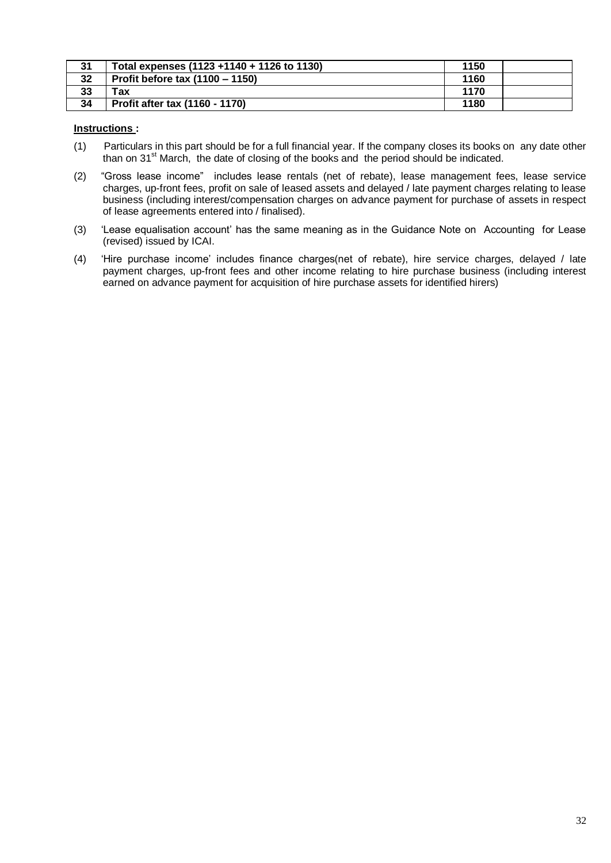| 31 | Total expenses (1123 + 1140 + 1126 to 1130) | 1150 |  |
|----|---------------------------------------------|------|--|
| 32 | Profit before tax (1100 – 1150)             | 1160 |  |
| 33 | <b>ax</b>                                   | 1170 |  |
| 34 | Profit after tax (1160 - 1170)              | 1180 |  |

### **Instructions :**

- (1) Particulars in this part should be for a full financial year. If the company closes its books on any date other than on 31<sup>st</sup> March, the date of closing of the books and the period should be indicated.
- (2) "Gross lease income" includes lease rentals (net of rebate), lease management fees, lease service charges, up-front fees, profit on sale of leased assets and delayed / late payment charges relating to lease business (including interest/compensation charges on advance payment for purchase of assets in respect of lease agreements entered into / finalised).
- (3) 'Lease equalisation account' has the same meaning as in the Guidance Note on Accounting for Lease (revised) issued by ICAI.
- (4) 'Hire purchase income' includes finance charges(net of rebate), hire service charges, delayed / late payment charges, up-front fees and other income relating to hire purchase business (including interest earned on advance payment for acquisition of hire purchase assets for identified hirers)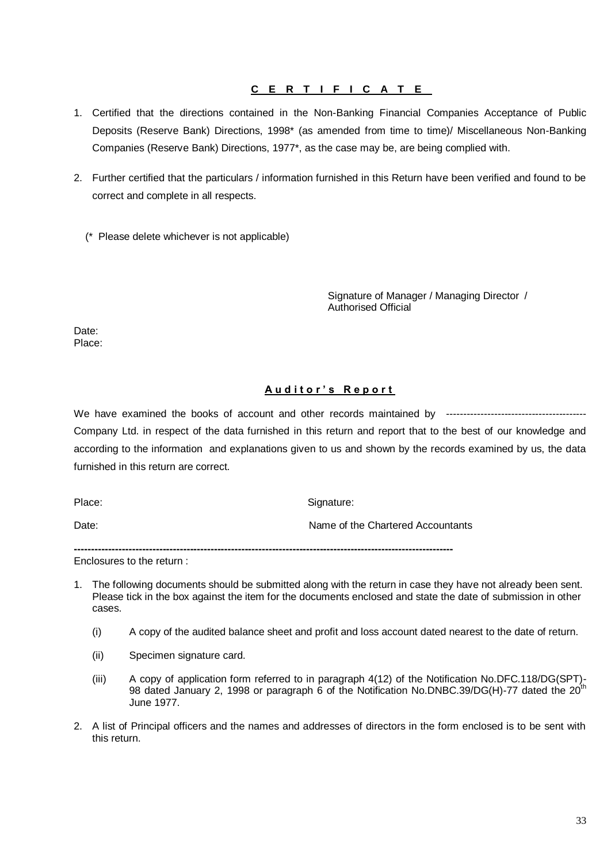### **C E R T I F I C A T E**

- 1. Certified that the directions contained in the Non-Banking Financial Companies Acceptance of Public Deposits (Reserve Bank) Directions, 1998\* (as amended from time to time)/ Miscellaneous Non-Banking Companies (Reserve Bank) Directions, 1977\*, as the case may be, are being complied with.
- 2. Further certified that the particulars / information furnished in this Return have been verified and found to be correct and complete in all respects.

(\* Please delete whichever is not applicable)

Signature of Manager / Managing Director / Authorised Official

Date: Place:

### **A u d i t o r ' s R e p o r t**

We have examined the books of account and other records maintained by ----------------------------------------- Company Ltd. in respect of the data furnished in this return and report that to the best of our knowledge and according to the information and explanations given to us and shown by the records examined by us, the data furnished in this return are correct.

Place: Signature: Signature: Signature: Signature: Signature: Signature: Signature: Signature: Signature: Signature: Signature: Signature: Signature: Signature: Signature: Signature: Signature: Signature: Signature: Signat

Date: **Name of the Chartered Accountants** 

**---------------------------------------------------------------------------------------------------------------**

Enclosures to the return :

- 1. The following documents should be submitted along with the return in case they have not already been sent. Please tick in the box against the item for the documents enclosed and state the date of submission in other cases.
	- (i) A copy of the audited balance sheet and profit and loss account dated nearest to the date of return.
	- (ii) Specimen signature card.
	- (iii) A copy of application form referred to in paragraph 4(12) of the Notification No.DFC.118/DG(SPT)- 98 dated January 2, 1998 or paragraph 6 of the Notification No.DNBC.39/DG(H)-77 dated the 20<sup>th</sup> June 1977.
- 2. A list of Principal officers and the names and addresses of directors in the form enclosed is to be sent with this return.